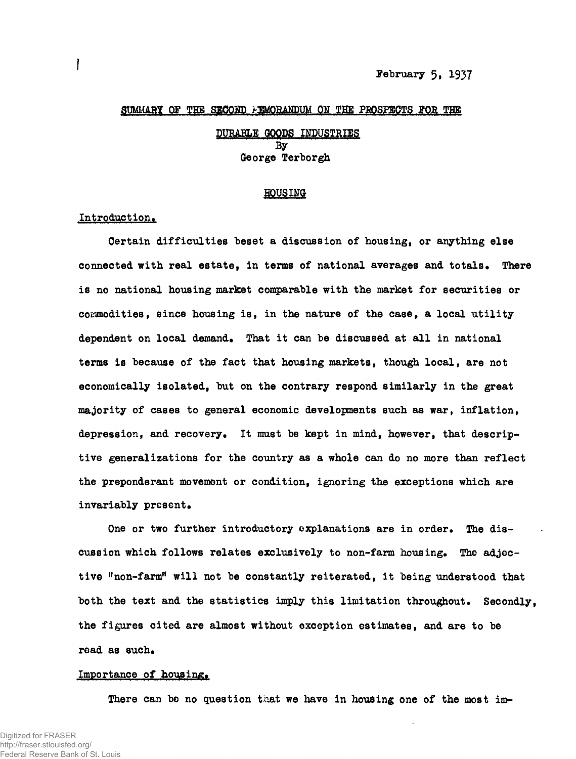#### SUMMARY OF THE SECOND FIMORANDUM ON THE PROSPECTS FOR THE

# **PURABLE GOODS INDUSTRIES By**  George Terborgh

#### HOUSING

# Introduction.

Certain difficulties beset a discussion of housing, or anything else connected with real estate, in terms of national averages and totals. There is no national housing market comparable with the market for securities or commodities, since housing is, in the nature of the case, a local utility dependent on local demand. That it can be discussed at all in national terms is because of the fact that housing markets, though local, are not economically isolated, but on the contrary respond similarly in the great majority of cases to general economic developments such as war, inflation, depression, and recovery. It must be kept in mind, however, that descriptive generalizations for the country as a whole can do no more than reflect the preponderant movement or condition, ignoring the exceptions which are invariably present.

One or two further introductory explanations are in order. The discussion which follows relates exclusively to non-farm housing. The adjective "non-farm" will not be constantly reiterated, it being understood that both the text and the statistics imply this limitation throughout. Secondly the figures cited are almost without exception estimates, and are to be read as such.

# Importance of housing.

There can be no question that we have in housing one of the most im-

There can be no question that we have in housing one of the most im-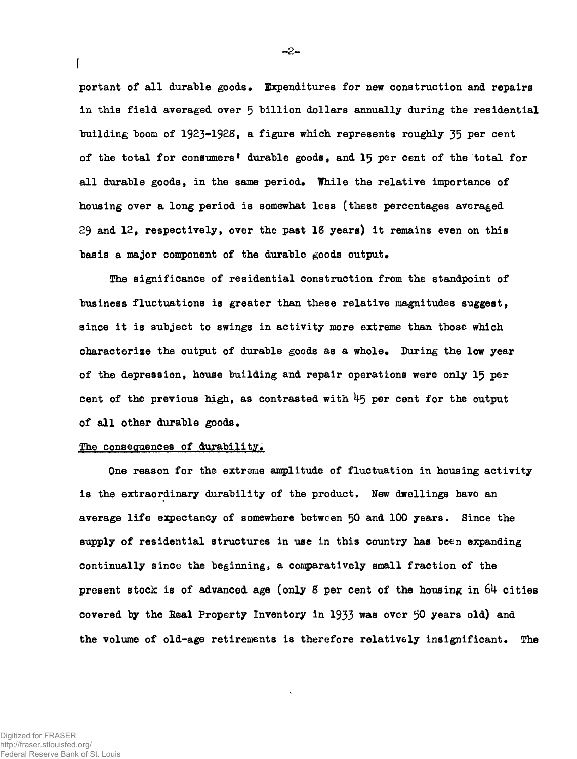portant of all durable goods. Expenditures for new construction and repairs in this field averaged over 5 billion dollars annually during the residential building boom of  $1923-1928$ , a figure which represents roughly 35 per cent of the total for consumers' durable goods, and 15 per cent of the total for all durable goods, in the same period. While the relative importance of housing over a long period is somewhat less (these percentages averaged 29 and  $12$ , respectively, over the past  $18$  years) it remains even on this basis a major component of the durable goods output.

The significance of residential construction from the standpoint of business fluctuations is greater than these relative magnitudes suggest, since it is subject to swings in activity more extreme than those which characterize the output of durable goods as a whole. During the low year of the depression, house building and repair operations were only 15 per cent of the previous high, as contrasted with  $45$  per cent for the output of all other durable goods.

# The consequences of durability.

One reason for the extreme amplitude of fluctuation in housing activity is the extraordinary durability of the product. New dwellings have an average life expectancy of somewhere between 50 and 100 years. Since the supply of residential structures in use in this country has been expanding continually since the beginning, a comparatively small fraction of the present stock is of advanced age (only 8 per cent of the housing in  $64$  cities covered by the Real Property Inventory in  $1933$  was over 50 years old) and the volume of old-age retirements is therefore relatively insignificant. The

Digitized for FRASER http://fraser.stlouisfed.org/ Federal Reserve Bank of St. Louis  $-2-$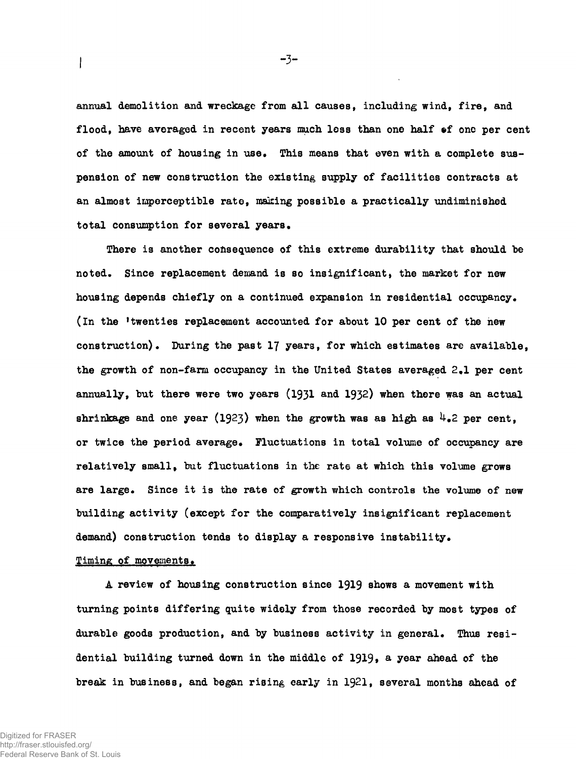annual demolition and wreckage from all causes, including wind, fire, and flood, have averaged in recent years much less than one half of one per cent of the amount of housing in use. This means that even with a complete suspension of new construction the existing supply of facilities contracts at an almost imperceptible rate, making possible a practically undiminished total consumption for several years.

There is another consequence of this extreme durability that should be noted. Since replacement demand is so insignificant, the market for new housing depends chiefly on a continued expansion in residential occupancy. (In the 'twenties replacement accounted for about 10 per cent of the new construction). During the past  $17$  years, for which estimates are available, the growth of non-farm occupancy in the United States averaged  $2-1$  per cent annually, but there were two years  $(1931$  and  $1932)$  when there was an actual shrinkage and one year (1923) when the growth was as high as  $\frac{1}{4}$ . Per cent, or twice the period average. Fluctuations in total volume of occupancy are relatively small, but fluctuations in the rate at which this volume grows are large. Since it is the rate of growth which controls the volume of new building activity (except for the comparatively insignificant replacement demand) construction tends to display a responsive instability.

# Timing of movements.

 $\mathbf l$ 

A review of housing construction since 1919 shows a movement with turning points differing quite widely from those recorded by most types of durable goods production, and by business activity in general. Thus residential building turned down in the middle of 1919, a year ahead of the break in business, and began rising early in  $1921$ , several months ahead of

-3-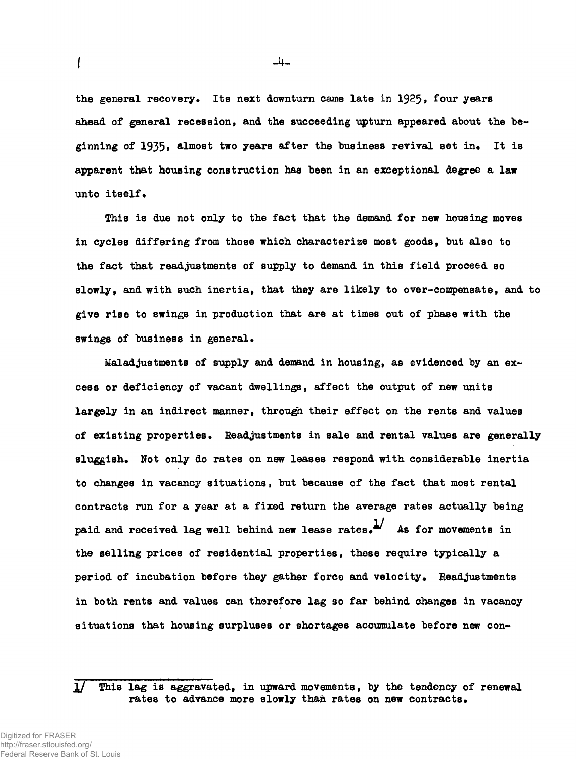the general recovery. Its next downturn came late in 1925, four years ahead of general recession, and the succeeding upturn appeared about the beginning of  $1935$ , almost two years after the business revival set in. It is apparent that housing construction has been in an exceptional degree a law unto itself.

**This is due not only to the fact that the demand for new housing moves in cycles differing from those which characterize most goods, but also to**  the fact that readjustments of supply to demand in this field proceed so **slowly, and with such inertia, that they are likely to over-compensate, and to give rise to swings in production that are at times out of phase with the swings of business in general•** 

Maladjustments of supply and demand in housing, as evidenced by an excess or deficiency of vacant dwellings, affect the output of new units largely in an indirect manner, through their effect on the rents and values of existing properties. Readjustments in sale and rental values are generally sluggish. Not only do rates on new leases respond with considerable inertia to changes in vacancy situations, but because of the fact that most rental contracts run for a year at a fixed return the average rates actually being paid and received lag well behind new lease rates. $^{1/2}$  As for movements in the selling prices of residential properties, these require typically a period of incubation before they gather force and velocity. Readjustments in both rents and values can therefore lag so far behind changes in vacancy situations that housing surpluses or shortages accumulate before new con-

**I** 

 $-4-$ 

 $1/$  This lag is aggravated, in upward movements, by the tendency of renewal rates to advance more slowly than rates on new contracts.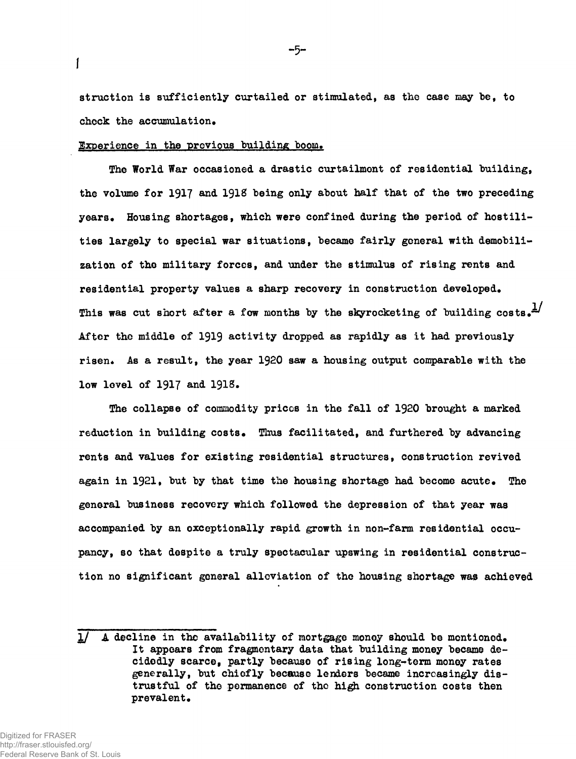struction is sufficiently curtailed or stimulated, as the case may be, to check the accumulation.

# Experience in the previous building boom.

**I** 

The World War occasioned a drastic curtailment of residential building, the volume for 1917 and 1918 being only about half that of the two preceding years. Housing shortages, which were confined during the period of hostilities largely to special war situations, became fairly general with demobilization of the military forces, and under the stimulus of rising rents and residential property values a sharp recovery in construction developed. This was cut short after a fow months by the skyrocketing of building costs.<sup>1/</sup> After the middle of 1919 activity dropped as rapidly as it had previously risen. As a result, the year 1920 saw a housing output comparable with the low level of 1917 and 1918.

The collapse of commodity prices in the fall of 1920 brought a marked reduction in building costs. Thus facilitated, and furthered by advancing rents and values for existing residential structures, construction revived again in 1921, but by that time the housing shortage had become acute. The general business recovery which followed the depression of that year was accompanied by an exceptionally rapid growth in non-farm residential occupancy, so that despite a truly spectacular upswing in residential construction no significant general alleviation of the housing shortage was achieved

 $1/$  A decline in the availability of mortgage money should be mentioned. It appears from fragmentary data that building money became decidedly scarce, partly because of rising long-term money rates generally, but chiefly because lenders became increasingly distrustful of the permanence of the high construction costs then prevalent.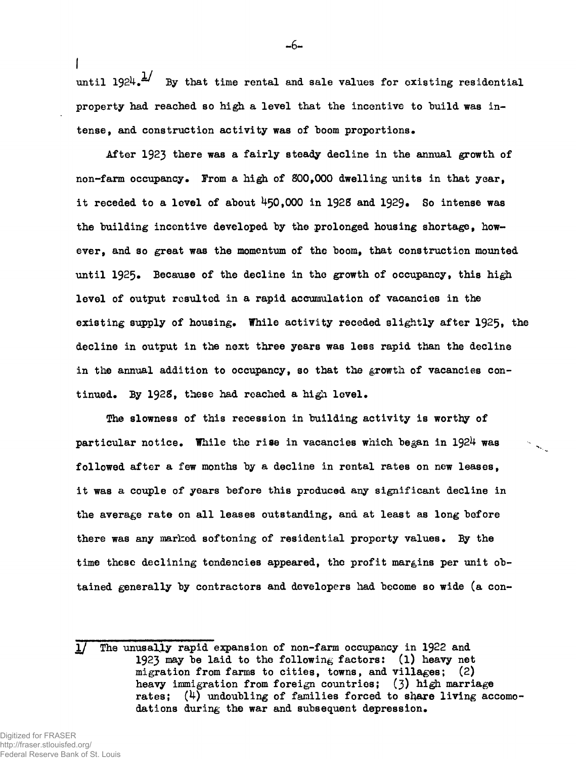until  $1924.$ <sup>1</sup>/ By that time rental and sale values for existing residential **property had reached so high a level that the incentive to build was intense, and construction activity was of boom proportions.** 

After 1923 there was a fairly steady decline in the annual growth of **non-farm occupancy. From a high of 800,000 dwelling units in that year,**  it receded to a level of about  $450,000$  in 1928 and 1929. So intense was **the building incentive developed by the prolonged housing shortage, however, and so great was the momentum of the boom, that construction mounted unti l 1925. Because of the decline in the growth of occupancy, this high level of output resulted in a rapid accumulation of vacancies in the existing supply of housing. While activity receded slightly after 1925, the decline in output in the next three years was less rapid than the decline in the annual addition to occupancy, so that the growth of vacancies continued. By 1928, these had reached a high level.** 

The slowness of this recession in building activity is worthy of **particular notice. While the rise in vacancies which began in I92U was followed after a few months by a decline in rental rates on new leases, it was a couple of years before this produced any significant decline in the average rate on al l leases outstanding, and at least as long before there was any marked softening of residential property values. By the time these declining tendencies appeared, the profit margins per unit obtained generally by contractors and developers had become so wide (a con-**

**I** 

-6-

The unusally rapid expansion of non-farm occupancy in 1922 and **1923 may be laid to the following factors: (l) heavy net migration from farms to cities, towns, and villages; (2) heavy immigration from foreign countries;** (3) **high marriage rates; (k) undoubling of families forced to share living accomc dations during the war and subsequent depression.**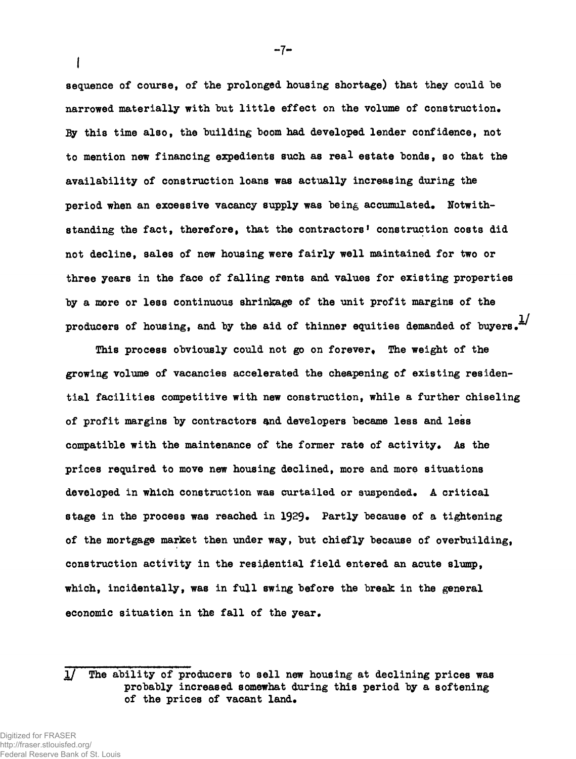**sequence of course, of the prolonged housing shortage) that they could he**  narrowed materially with but little effect on the volume of construction. *By* **this time also, the building boom had developed lender confidence, not to mention new financing expedients such as real estate bonds, so that the availability of construction loans was actually increasing during the**  period when an excessive vacancy supply was being accumulated. Notwith**standing the fact, therefore, that the contractors<sup>1</sup> construction costs did not decline, sales of new housing were fairl y well maintained for two or three years in the face of falling rents and values for existing properties by a more or less continuous shrinkage of the unit profit margins of the**  producers of housing, and by the aid of thinner equities demanded of buyers.<sup>1/</sup>

**This process obviously could not go on forever. The weight of the growing volume of vacancies accelerated the cheapening of existing residentia l facilitie s competitive with new construction, while a further chiseling of profit margins by contractors snd developers became less and less compatible with the maintenance of the former rate of activity. As the prices required to move new housing declined, more and more situations**  developed in which construction was curtailed or suspended. A critical stage in the process was reached in 1929. Partly because of a tightening **of the mortgage market then under way, but chiefly because of overbuilding,**  construction activity in the residential field entered an acute slump, which, incidentally, was in full swing before the break in the general economic situation in the fall of the year.

 $-7-$ 

**<sup>1/</sup>** The ability of producers to sell new housing at declining prices was **probably increased somewhat during this period by a softening**  of the prices of vacant land.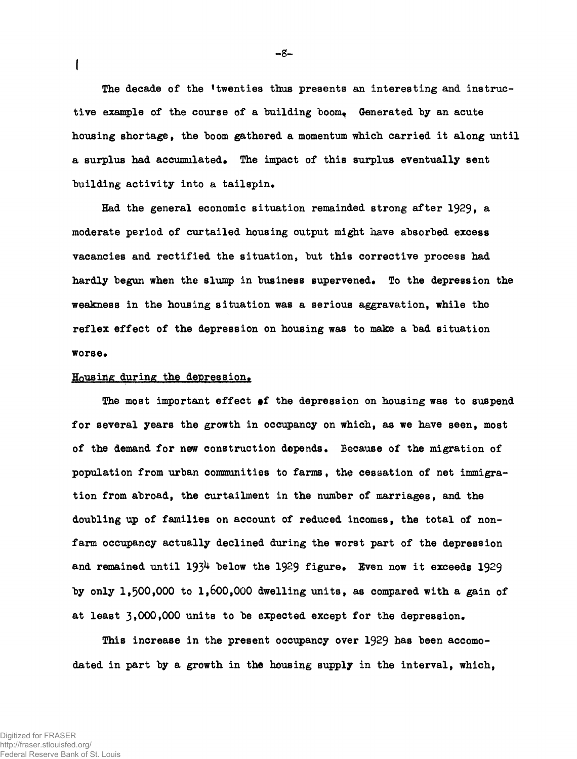The decade of the 'twenties thus presents an interesting and instructive example of the course of a building boom. Generated by an acute housing shortage, the boom gathered a momentum which carried it along until a surplus had accumulated. The impact of this surplus eventually sent building activity into a tailspin.

Had the general economic situation remainded strong after 1929, a moderate period of curtailed housing output might have absorbed excess vacancies and rectified the situation, but this corrective process had hardly begun when the slump in business supervened. To the depression the weakness in the housing situation was a serious aggravation, while the reflex effect of the depression on housing was to make a bad situation worse.

### Housing during the depression.

**I** 

The most important effect of the depression on housing was to suspend for several years the growth in occupancy on which, as we have seen, most of the demand for new construction depends. Because of the migration of population from urban communities to farms, the cessation of net immigration from abroad, the curtailment in the number of marriages, and the doubling up of families on account of reduced incomes, the total of nonfarm occupancy actually declined during the worst part of the depression and remained until  $193^{\text{4}}$  below the 1929 figure. Even now it exceeds 1929 by only 1,500,000 to 1,600,000 dwelling units, as compared with a gain of at least  $3,000,000$  units to be expected except for the depression.

This increase in the present occupancy over 1929 has been accomodated in part by a growth in the housing supply in the interval, which,

**-3-**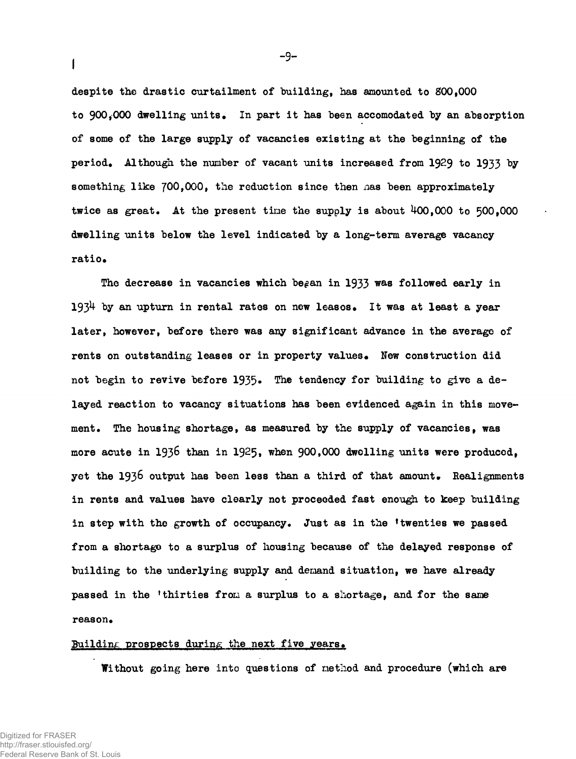**despite the drastic curtailment of building, has amounted to 800,000**  to 900.000 dwelling units. In part it has been accomodated by an absorption **of some of the large supply of vacancies existing at the beginning of the period\* Although the number of vacant units increased from 1929 to 1933 by**  something like 700,000, the reduction since then has been approximately **twice as great. At the present tine the supply i s about 400,000 to 500,000 dwelling units below the level indicated by a long-term average vacancy**  ratio.

The decrease in vacancies which be<sub>f</sub>an in 1933 was followed early in 1934 by an upturn in rental rates on new leases. It was at least a year **later , however, before there was any significant advance in the average of**  rents on outstanding leases or in property values. New construction did not begin to revive before 1935. The tendency for building to give a de**layed reaction to vacancy situations has been evidenced again in this movement. The housing shortage, as measured by the supply of vacancies, was**  more acute in 1936 than in 1925, when 900,000 dwelling units were produced. **yet the 1936 output has been less than a third of that amount. Realignments i n rents and values have clearly not proceeded fast enough to keep building in step with the growth of occupancy. Just as in the 'twenties we passed from a short ago to a surplus of housing because of the delayed response of building to the underlying supply and demand situation, we have already passed in the 'thirties from a surplus to a shortage, and for the same**  reason.

#### Building prospects during the next five years.

**Without going here into questions of method and procedure (which are** 

 $\mathbf{I}$ 

 $-9-$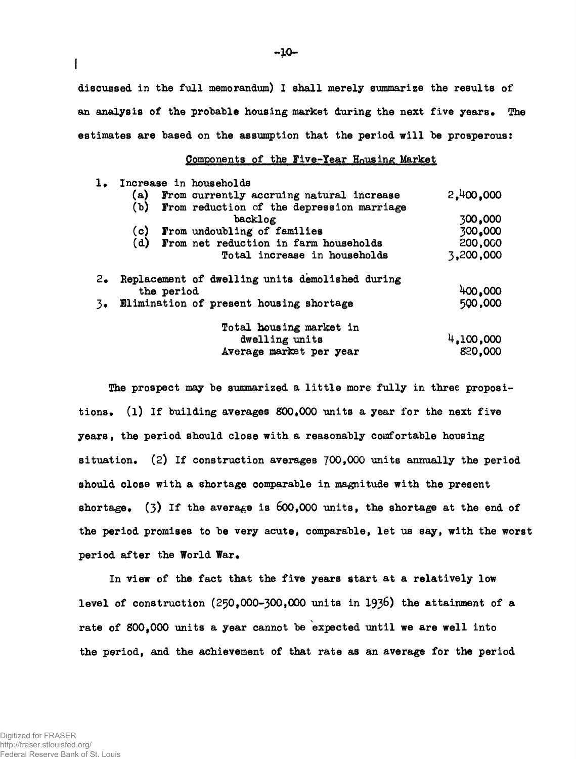discussed in the full memorandum) I shall merely summarize the results of **an analysis of the probable housing market during the next five years\* The**  estimates are based on the assumption that the period will be prosperous:

### **Components of the give-Year Housing Market**

|               | 1. Increase in households |                                                                              |           |
|---------------|---------------------------|------------------------------------------------------------------------------|-----------|
|               |                           | (a) From currently accruing natural increase                                 | 2,400,000 |
|               |                           | (b) From reduction of the depression marriage                                |           |
|               |                           | backlog                                                                      | 300,000   |
|               |                           |                                                                              | 300,000   |
|               |                           | (c) From undoubling of families<br>(d) From net reduction in farm households | 200,000   |
|               |                           | Total increase in households                                                 | 3,200,000 |
| $2_{\bullet}$ |                           | Replacement of dwelling units demolished during                              |           |
|               | the period                |                                                                              | 400,000   |
|               |                           | 3. Elimination of present housing shortage                                   | 500,000   |
|               |                           | Total housing market in                                                      |           |
|               |                           | dwelling units                                                               | 4,100,000 |
|               |                           | Average market per year                                                      | 820,000   |

The prospect may be summarized a little more fully in three propositions. (1) If building averages 800,000 units a year for the next five **years, the period should close with a reasonably comfortable housing situation. (2) I f construction averages J00f000 units annually the period should close with a shortage comparable in magnitude with the present shortage.** (3) **I f the average is** 600,000 **units, the shortage at the end of the period promises to be very acute, comparable, let us say, with the worst**  period after the World War.

**In view of the fact that the five years start at a relatively low level of construction (250,000-300,000 units in 1936) the attainment of a rate of 800,000 units a year cannot be expected until we are well into the period, and the achievement of that rate as an average for the period** 

**I**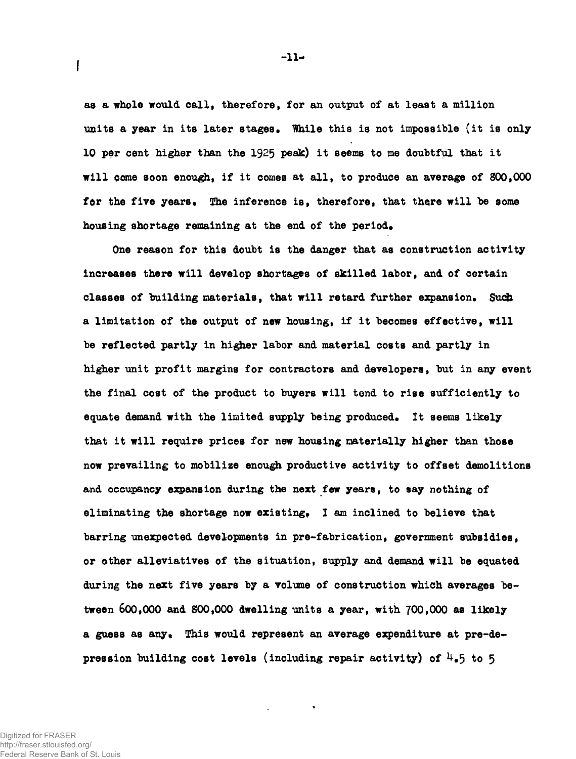**as a whole would call, therefore, for an output of at least a million**  units a year in its later stages. While this is not impossible (it is only **10 per cent higher than the 1925 peak) it seems to me doubtful that it wil l pome soon enough, i f it comes at all, to produce an average of 800,000**  for the five years. The inference is, therefore, that there will be some housing shortage remaining at the end of the period.

**One reason for this doubt i s the danger that as construction activity increases there wil l develop shortages of skilled labor, and of certain classes of building materials, that wil l retard further expansion\* Such**  a limitation of the output of new housing, if it becomes effective, will **be reflected partly in higher labor and material costs and partly in higher unit profit margins for contractors and developers, but in any event**  the final cost of the product to buyers will tend to rise sufficiently to **equate demand with the limited supply being produced\* I t seems likely**  that it will require prices for new housing materially higher than those **now prevailing to mobilize enough productive activity to offset demolitions and occupancy expansion during the next few years, to say nothing of eliminating the shortage now existing\* I am inclined to believe that barring unexpected developments in pre-fabrication, government subsidies,**  or other alleviatives of the situation, supply and demand will be equated **during the next five years by a volume of construction which averages between 600,000 and 800,000 dwelling units a year, with 700,000 as likely**  a guess as any. This would represent an average expenditure at pre-de**pression building cost levels (including repair activity) of U#5 to 5** 

 $-11-$ 

 $\overline{1}$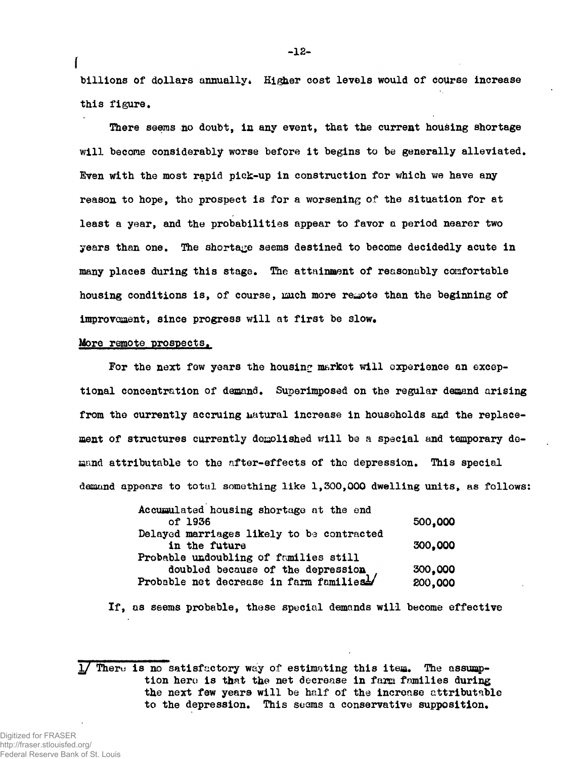billions of dollars annually. Higher cost levels would of course increase **this figure.** 

**There seems no doubt, in any event, that the current housing shortage wil l become considerably worse before it begins to be generally alleviated. Even with the most rapid pick-up in construction for which we have any reason to hope, the prospect i s for a worsening of the situation for at least a year, and the probabilities appear to favor a period nearer two years than one. The shortage seems destined to become decidedly acute in many places during this stage. The attainment of reasonably comfortable housing conditions is , of course, much more remote than the beginning of**  improvement, since progress will at first be slow.

### **More remote prospects.**

**f** 

For the next few years the housing market will experience an excep**tional concentration of demand. Superimposed on the regular demand arising from the currently accruing uatural increase in households and the replace**ment of structures currently demolished will be a special and temporary de**mand attributable to the after-effects of the depression. This special demand appears to total something like 1,300,000 dwelling units, as follows:** 

| Accumulated housing shortage at the end   |         |  |  |
|-------------------------------------------|---------|--|--|
| of 1936                                   | 500,000 |  |  |
| Delayed marriages likely to be contracted |         |  |  |
| in the future                             | 300,000 |  |  |
| Probable undoubling of families still     |         |  |  |
| doubled because of the depression         | 300,000 |  |  |
| Probable net decrease in farm families1   | 200,000 |  |  |
|                                           |         |  |  |

If, as seems probable, these special demands will become effective

There is no satisfactory way of estimating this item. The assump**tion here i s that the net decrease in farm fnmilies during**  the next few years will be half of the increase attributable **to the depression. This seems a conservative supposition.**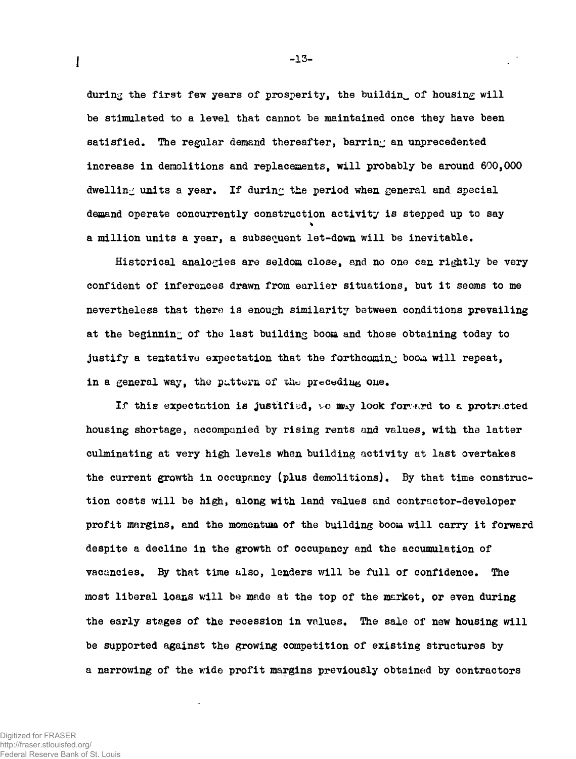during the first few years of prosperity, the building of housing will be stimulated to a level that cannot be maintained once they have been satisfied. The regular demand thereafter, barring an unprecedented increase in demolitions and replacements, will probably be around  $600,000$ dwelling units a year. If during the period when general and special demand operate concurrently construction activity is stepped up to say a million units a year, a subsequent let-down will be inevitable.

Historical analogies are seldom close, and no one can rightly be very confident of inferences drawn from earlier situations, but it seems to me nevertheless that there is enough similarity between conditions prevailing at the beginning of the last building boom and those obtaining today to justify a tentative expectation that the forthcoming boom will repeat, in a general way, the pattern of the preceding one.

If this expectation is justified, we may look forward to a protracted housing shortage, accompanied by rising rents and values, with the latter culminating at very high levels when building activity at last overtakes the current growth in occupancy (plus demolitions). By that time construction costs will be high, along with land values and contractor-developer profit margins, and the momentum of the building boom will carry it forward despite a decline in the growth of occupancy and the accumulation of vacancies. By that time also, lenders will be full of confidence. The most liberal loans will be made at the top of the market, or even during the early stages of the recession in values. The sale of new housing will be supported against the growing competition of existing structures by a narrowing of the wide profit margins previously obtained by contractors

 $\mathbf{I}$ 

 $-13-$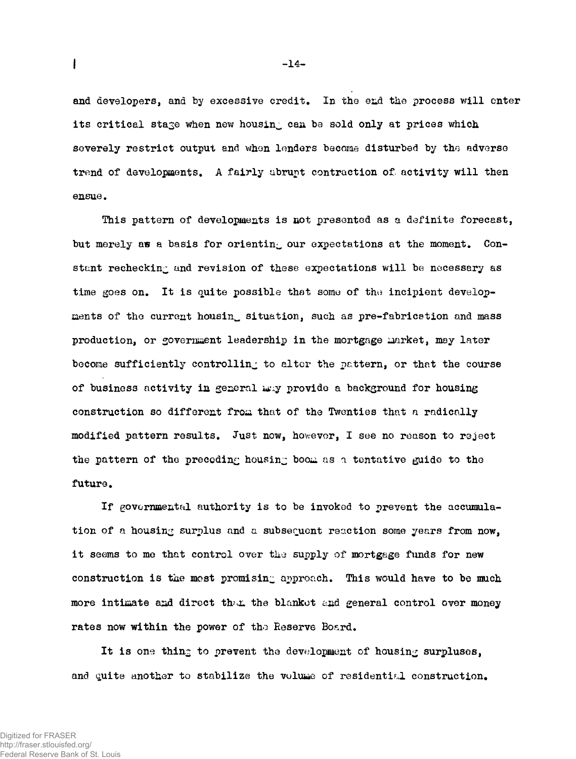and developers, and by excessive credit. In the end the process will enter its critical stage when new housing can be sold only at prices which severely restrict output and when lenders become disturbed by the adverse trend of developments. A fairly ubrupt contraction of activity will then ensue .

This pattern of developments is not presented as a definite forecast, but merely as a basis for orienting our expectations at the moment. Constant rechecking and revision of these expectations will be necessary as time goes on. It is quite possible that some of the incipient developments of the current housing situation, such as pre-fabrication and mass production, or government leadership in the mortgage market, may later become sufficiently controlling to alter the pattern, or that the course of business activity in general way provide a background for housing construction so different from that of the Twenties that a radically modified pattern results. Just now, however, I see no reason to reject the pattern of the preceding housing boom as a tentative guide to the future.

If governmental authority is to be invoked to prevent the accumulation of a housing surplus and a subsequent reaction some years from now, it seems to me that control over the supply of mortgage funds for new construction is the most promising approach. This would have to be much more intimate and direct that the blanket and general control over money rates now within the power of the Reserve Board.

It is one thing to prevent the development of housing surpluses, and quite another to stabilize the volume of residential construction.

**I I** -14 - **I** -14 - **I** -14 - **I** -14 - **I** -14 - **I** -14 - **I** -14 - **I** -14 - **I**